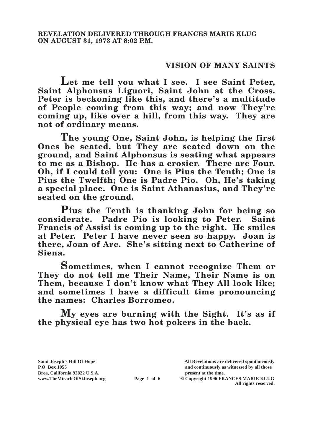# **VISION OF MANY SAINTS**

**Let me tell you what I see. I see Saint Peter, Saint Alphonsus Liguori, Saint John at the Cross. Peter is beckoning like this, and there's a multitude of People coming from this way; and now They're coming up, like over a hill, from this way. They are not of ordinary means.**

**The young One, Saint John, is helping the first Ones be seated, but They are seated down on the ground, and Saint Alphonsus is seating what appears to me as a Bishop. He has a crosier. There are Four. Oh, if I could tell you: One is Pius the Tenth; One is Pius the Twelfth; One is Padre Pio. Oh, He's taking a special place. One is Saint Athanasius, and They're seated on the ground.**

**Pius the Tenth is thanking John for being so considerate. Padre Pio is looking to Peter. Saint Francis of Assisi is coming up to the right. He smiles at Peter. Peter I have never seen so happy. Joan is there, Joan of Arc. She's sitting next to Catherine of Siena.**

**Sometimes, when I cannot recognize Them or They do not tell me Their Name, Their Name is on Them, because I don't know what They All look like; and sometimes I have a difficult time pronouncing the names: Charles Borromeo.**

**My eyes are burning with the Sight. It's as if the physical eye has two hot pokers in the back.**

**Brea, California 92822 U.S.A. present at the time.**<br> **Page 1 of 6**  $\bullet$  **Copyright 1996 FR.** 

**Saint Joseph's Hill Of Hope All Revelations are delivered spontaneously P.O. Box 1055 and continuously as witnessed by all those** 

**Page 1 of 6** © Copyright 1996 FRANCES MARIE KLUG **All rights reserved.**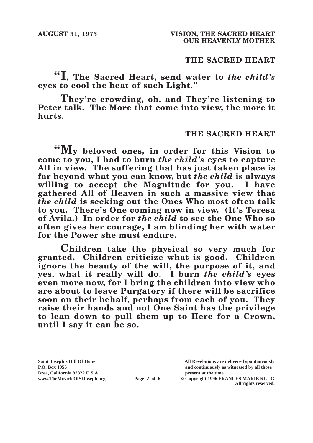# **THE SACRED HEART**

**"I, The Sacred Heart, send water to** *the child's* **eyes to cool the heat of such Light."**

**They're crowding, oh, and They're listening to Peter talk. The More that come into view, the more it hurts.**

### **THE SACRED HEART**

**"My beloved ones, in order for this Vision to come to you, I had to burn** *the child's* **eyes to capture All in view. The suffering that has just taken place is far beyond what you can know, but** *the child* **is always willing to accept the Magnitude for you. I have gathered All of Heaven in such a massive view that**  *the child* **is seeking out the Ones Who most often talk to you. There's One coming now in view. (It's Teresa of Avila.) In order for** *the child* **to see the One Who so often gives her courage, I am blinding her with water for the Power she must endure.**

**Children take the physical so very much for granted. Children criticize what is good. Children ignore the beauty of the will, the purpose of it, and yes, what it really will do. I burn** *the child's* **eyes even more now, for I bring the children into view who are about to leave Purgatory if there will be sacrifice soon on their behalf, perhaps from each of you. They raise their hands and not One Saint has the privilege to lean down to pull them up to Here for a Crown, until I say it can be so.**

**Brea, California 92822 U.S.A. present at the time.**<br> **Page 2 of 6** © Copyright 1996 FR.

**Saint Joseph's Hill Of Hope All Revelations are delivered spontaneously P.O. Box 1055 and continuously as witnessed by all those** 

**Page 2 of 6** © Copyright 1996 FRANCES MARIE KLUG **All rights reserved.**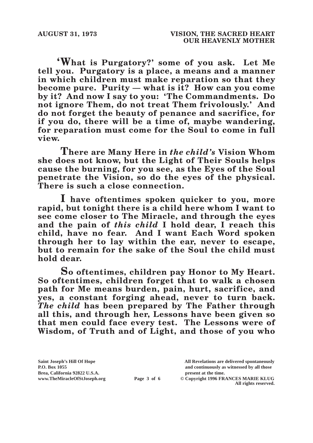**'What is Purgatory?' some of you ask. Let Me tell you. Purgatory is a place, a means and a manner in which children must make reparation so that they become pure. Purity — what is it? How can you come by it? And now I say to you: 'The Commandments. Do not ignore Them, do not treat Them frivolously.' And do not forget the beauty of penance and sacrifice, for if you do, there will be a time of, maybe wandering, for reparation must come for the Soul to come in full view.**

**There are Many Here in** *the child's* **Vision Whom she does not know, but the Light of Their Souls helps cause the burning, for you see, as the Eyes of the Soul penetrate the Vision, so do the eyes of the physical. There is such a close connection.**

**I have oftentimes spoken quicker to you, more rapid, but tonight there is a child here whom I want to see come closer to The Miracle, and through the eyes and the pain of** *this child* **I hold dear, I reach this child, have no fear. And I want Each Word spoken through her to lay within the ear, never to escape, but to remain for the sake of the Soul the child must hold dear.**

**So oftentimes, children pay Honor to My Heart. So oftentimes, children forget that to walk a chosen path for Me means burden, pain, hurt, sacrifice, and yes, a constant forging ahead, never to turn back.**  *The child* **has been prepared by The Father through all this, and through her, Lessons have been given so that men could face every test. The Lessons were of Wisdom, of Truth and of Light, and those of you who** 

**Saint Joseph's Hill Of Hope All Revelations are delivered spontaneously** Brea, California 92822 U.S.A.<br>
www.TheMiracleOfStJoseph.org<br> **Page 3 of 6** © Copyright 1996 FR.

**P.O. Box 1055 and continuously as witnessed by all those** 

**Page 3 of 6** © Copyright 1996 FRANCES MARIE KLUG **All rights reserved.**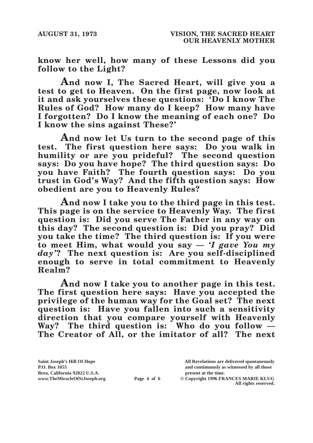**know her well, how many of these Lessons did you follow to the Light?**

**And now I, The Sacred Heart, will give you a test to get to Heaven. On the first page, now look at it and ask yourselves these questions: 'Do I know The Rules of God? How many do I keep? How many have I forgotten? Do I know the meaning of each one? Do I know the sins against These?'**

**And now let Us turn to the second page of this test. The first question here says: Do you walk in humility or are you prideful? The second question says: Do you have hope? The third question says: Do you have Faith? The fourth question says: Do you trust in God's Way? And the fifth question says: How obedient are you to Heavenly Rules?**

**And now I take you to the third page in this test. This page is on the service to Heavenly Way. The first question is: Did you serve The Father in any way on this day? The second question is: Did you pray? Did you take the time? The third question is: If you were to meet Him, what would you say —** *'I gave You my day'***? The next question is: Are you self-disciplined enough to serve in total commitment to Heavenly Realm?**

**And now I take you to another page in this test. The first question here says: Have you accepted the privilege of the human way for the Goal set? The next question is: Have you fallen into such a sensitivity direction that you compare yourself with Heavenly Way? The third question is: Who do you follow — The Creator of All, or the imitator of all? The next** 

**Saint Joseph's Hill Of Hope All Revelations are delivered spontaneously Brea, California 92822 U.S.A. present at the time.**<br> **Page 4 of 6**  $\bullet$  **Copyright 1996 FR.** 

**P.O. Box 1055 and continuously as witnessed by all those** 

 $\odot$  Copyright 1996 FRANCES MARIE KLUG **All rights reserved.**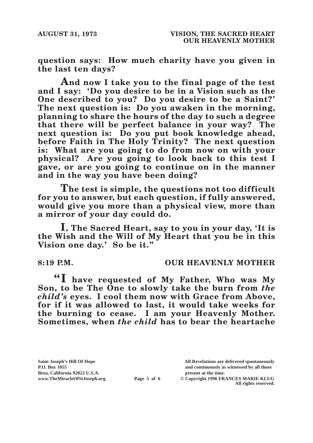**question says: How much charity have you given in the last ten days?**

**And now I take you to the final page of the test and I say: 'Do you desire to be in a Vision such as the One described to you? Do you desire to be a Saint?' The next question is: Do you awaken in the morning, planning to share the hours of the day to such a degree that there will be perfect balance in your way? The next question is: Do you put book knowledge ahead, before Faith in The Holy Trinity? The next question is: What are you going to do from now on with your physical? Are you going to look back to this test I gave, or are you going to continue on in the manner and in the way you have been doing?**

**The test is simple, the questions not too difficult for you to answer, but each question, if fully answered, would give you more than a physical view, more than a mirror of your day could do.**

**I, The Sacred Heart, say to you in your day, 'It is the Wish and the Will of My Heart that you be in this Vision one day.' So be it."**

# **8:19 P.M. OUR HEAVENLY MOTHER**

**"I have requested of My Father, Who was My Son, to be The One to slowly take the burn from** *the child's* **eyes. I cool them now with Grace from Above, for if it was allowed to last, it would take weeks for the burning to cease. I am your Heavenly Mother. Sometimes, when** *the child* **has to bear the heartache** 

Brea, California 92822 U.S.A.<br>
www.TheMiracleOfStJoseph.org<br> **Page 5 of 6** © Copyright 1996 FR.

**Saint Joseph's Hill Of Hope All Revelations are delivered spontaneously P.O. Box 1055 and continuously as witnessed by all those** 

**Page 5 of 6** © Copyright 1996 FRANCES MARIE KLUG **All rights reserved.**